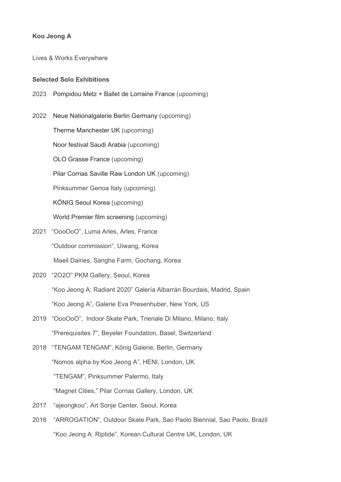## Koo Jeong A

Lives & Works Everywhere

### Selected Solo Exhibitions

2023 Pompidou Metz + Ballet de Lorraine France (upcoming)

2022 Neue Nationalgalerie Berlin Germany (upcoming) Therme Manchester UK (upcoming) Noor festival Saudi Arabia (upcoming) OLO Grasse France (upcoming) Pilar Corrias Saville Raw London UK (upcoming) Pinksummer Genoa Italy (upcoming) KÖNIG Seoul Korea (upcoming) World Premier film screening (upcoming) 2021 "OooOoO", Luma Arles, Arles, France

- "Outdoor commission", Uiwang, Korea Maeil Dairies, Sangha Farm, Gochang, Korea
- 2020 "2O2O" PKM Gallery, Seoul, Korea "Koo Jeong A: Radiant 2020" Galería Albarrán Bourdais, Madrid, Spain "Koo Jeong A", Galerie Eva Presenhuber, New York, US
- 2019 "OooOoO", Indoor Skate Park, Trienale Di Milano, Milano, Italy "Prerequisites 7", Beyeler Foundation, Basel, Switzerland
- 2018 "TENGAM TENGAM", König Galerie, Berlin, Germany "Nomos alpha by Koo Jeong A", HENI, London, UK "TENGAM", Pinksummer Palermo, Italy "Magnet Cities," Pilar Corrias Gallery, London, UK
- 2017 "ajeongkoo", Art Sonje Center, Seoul, Korea
- 2016 "ARROGATION", Outdoor Skate Park, Sao Paolo Biennial, Sao Paolo, Brazil "Koo Jeong A: Riptide", Korean Cultural Centre UK, London, UK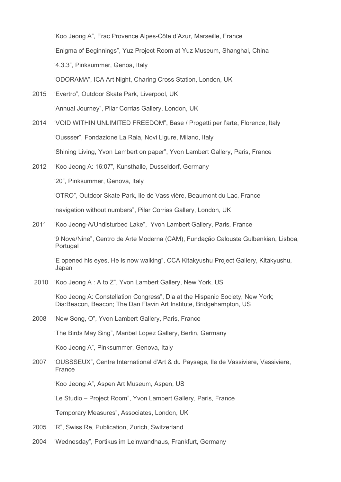"Koo Jeong A", Frac Provence Alpes-Côte d'Azur, Marseille, France "Enigma of Beginnings", Yuz Project Room at Yuz Museum, Shanghai, China "4.3.3", Pinksummer, Genoa, Italy

"ODORAMA", ICA Art Night, Charing Cross Station, London, UK

- 2015 "Evertro", Outdoor Skate Park, Liverpool, UK "Annual Journey", Pilar Corrias Gallery, London, UK
- 2014 "VOID WITHIN UNLIMITED FREEDOM", Base / Progetti per l'arte, Florence, Italy "Oussser", Fondazione La Raia, Novi Ligure, Milano, Italy "Shining Living, Yvon Lambert on paper", Yvon Lambert Gallery, Paris, France
- 2012 "Koo Jeong A: 16:07", Kunsthalle, Dusseldorf, Germany

"20", Pinksummer, Genova, Italy

"OTRO", Outdoor Skate Park, Ile de Vassivière, Beaumont du Lac, France

"navigation without numbers", Pilar Corrias Gallery, London, UK

2011 "Koo Jeong-A/Undisturbed Lake", Yvon Lambert Gallery, Paris, France

 "9 Nove/Nine", Centro de Arte Moderna (CAM), Fundação Calouste Gulbenkian, Lisboa, Portugal

 "E opened his eyes, He is now walking", CCA Kitakyushu Project Gallery, Kitakyushu, Japan

2010 "Koo Jeong A : A to Z", Yvon Lambert Gallery, New York, US

 "Koo Jeong A: Constellation Congress", Dia at the Hispanic Society, New York; Dia:Beacon, Beacon; The Dan Flavin Art Institute, Bridgehampton, US

2008 "New Song, O", Yvon Lambert Gallery, Paris, France

"The Birds May Sing", Maribel Lopez Gallery, Berlin, Germany

"Koo Jeong A", Pinksummer, Genova, Italy

2007 "OUSSSEUX", Centre International d'Art & du Paysage, Ile de Vassiviere, Vassiviere, France

"Koo Jeong A", Aspen Art Museum, Aspen, US

"Le Studio – Project Room", Yvon Lambert Gallery, Paris, France

"Temporary Measures", Associates, London, UK

- 2005 "R", Swiss Re, Publication, Zurich, Switzerland
- 2004 "Wednesday", Portikus im Leinwandhaus, Frankfurt, Germany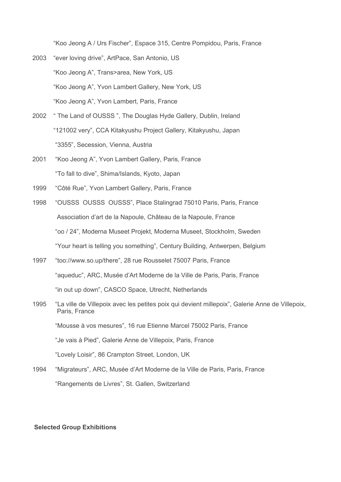"Koo Jeong A / Urs Fischer", Espace 315, Centre Pompidou, Paris, France

- 2003 "ever loving drive", ArtPace, San Antonio, US "Koo Jeong A", Trans>area, New York, US "Koo Jeong A", Yvon Lambert Gallery, New York, US "Koo Jeong A", Yvon Lambert, Paris, France
- 2002 " The Land of OUSSS ", The Douglas Hyde Gallery, Dublin, Ireland "121002 very", CCA Kitakyushu Project Gallery, Kitakyushu, Japan "3355", Secession, Vienna, Austria
- 2001 "Koo Jeong A", Yvon Lambert Gallery, Paris, France "To fall to dive", Shima/Islands, Kyoto, Japan
- 1999 "Côté Rue", Yvon Lambert Gallery, Paris, France
- 1998 "OUSSS OUSSS OUSSS", Place Stalingrad 75010 Paris, Paris, France Association d'art de la Napoule, Château de la Napoule, France "oo / 24", Moderna Museet Projekt, Moderna Museet, Stockholm, Sweden "Your heart is telling you something", Century Building, Antwerpen, Belgium
- 1997 "too://www.so.up/there", 28 rue Rousselet 75007 Paris, France "aqueduc", ARC, Musée d'Art Moderne de la Ville de Paris, Paris, France "in out up down", CASCO Space, Utrecht, Netherlands
- 1995 "La ville de Villepoix avec les petites poix qui devient millepoix", Galerie Anne de Villepoix, Paris, France "Mousse à vos mesures", 16 rue Etienne Marcel 75002 Paris, France "Je vais à Pied", Galerie Anne de Villepoix, Paris, France "Lovely Loisir", 86 Crampton Street, London, UK
- 1994 "Migrateurs", ARC, Musée d'Art Moderne de la Ville de Paris, Paris, France "Rangements de Livres", St. Gallen, Switzerland

#### Selected Group Exhibitions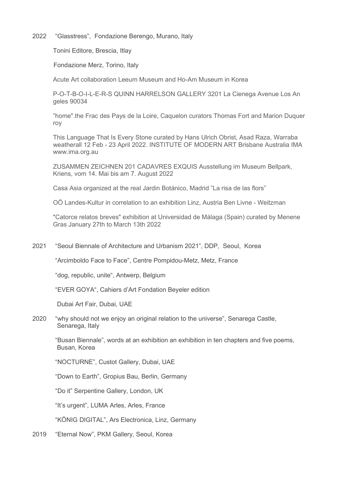2022 "Glasstress", Fondazione Berengo, Murano, Italy

Tonini Editore, Brescia, Itlay

Fondazione Merz, Torino, Italy

Acute Art collaboration Leeum Museum and Ho-Am Museum in Korea

 P-O-T-B-O-I-L-E-R-S QUINN HARRELSON GALLERY 3201 La Cienega Avenue Los An geles 90034

 "home".the Frac des Pays de la Loire, Caquelon curators Thomas Fort and Marion Duquer roy

 This Language That Is Every Stone curated by Hans Ulrich Obrist, Asad Raza, Warraba weatherall 12 Feb - 23 April 2022. INSTITUTE OF MODERN ART Brisbane Australia IMA www.ima.org.au

 ZUSAMMEN ZEICHNEN 201 CADAVRES EXQUIS Ausstellung im Museum Bellpark, Kriens, vom 14. Mai bis am 7. August 2022

Casa Asia organized at the real Jardin Botánico, Madrid "La risa de las flors"

OÖ Landes-Kultur in correlation to an exhibition Linz, Austria Ben Livne - Weitzman

 "Catorce relatos breves" exhibition at Universidad de Málaga (Spain) curated by Menene Gras January 27th to March 13th 2022

2021 "Seoul Biennale of Architecture and Urbanism 2021", DDP, Seoul, Korea

"Arcimboldo Face to Face", Centre Pompidou-Metz, Metz, France

"dog, republic, unite", Antwerp, Belgium

"EVER GOYA", Cahiers d'Art Fondation Beyeler edition

Dubai Art Fair, Dubai, UAE

2020 "why should not we enjoy an original relation to the universe", Senarega Castle, Senarega, Italy

 "Busan Biennale", words at an exhibition an exhibition in ten chapters and five poems, Busan, Korea

"NOCTURNE", Custot Gallery, Dubai, UAE

"Down to Earth", Gropius Bau, Berlin, Germany

"Do it" Serpentine Gallery, London, UK

"It's urgent", LUMA Arles, Arles, France

"KÖNIG DIGITAL", Ars Electronica, Linz, Germany

2019 "Eternal Now", PKM Gallery, Seoul, Korea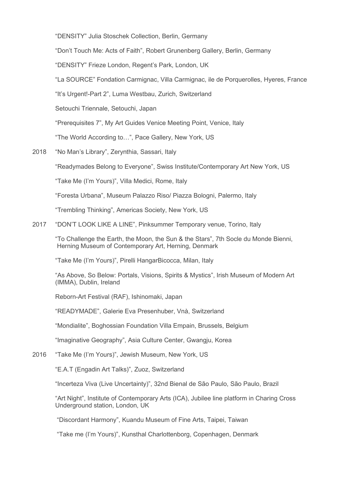"DENSITY" Julia Stoschek Collection, Berlin, Germany

"Don't Touch Me: Acts of Faith", Robert Grunenberg Gallery, Berlin, Germany

"DENSITY" Frieze London, Regent's Park, London, UK

"La SOURCE" Fondation Carmignac, Villa Carmignac, ile de Porquerolles, Hyeres, France

"It's Urgent!-Part 2", Luma Westbau, Zurich, Switzerland

Setouchi Triennale, Setouchi, Japan

"Prerequisites 7", My Art Guides Venice Meeting Point, Venice, Italy

"The World According to…", Pace Gallery, New York, US

2018 "No Man's Library", Zerynthia, Sassari, Italy

"Readymades Belong to Everyone", Swiss Institute/Contemporary Art New York, US

"Take Me (I'm Yours)", Villa Medici, Rome, Italy

"Foresta Urbana", Museum Palazzo Riso/ Piazza Bologni, Palermo, Italy

"Trembling Thinking", Americas Society, New York, US

2017 "DON'T LOOK LIKE A LINE", Pinksummer Temporary venue, Torino, Italy

 "To Challenge the Earth, the Moon, the Sun & the Stars", 7th Socle du Monde Bienni, Herning Museum of Contemporary Art, Herning, Denmark

"Take Me (I'm Yours)", Pirelli HangarBicocca, Milan, Italy

 "As Above, So Below: Portals, Visions, Spirits & Mystics", Irish Museum of Modern Art (IMMA), Dublin, Ireland

Reborn-Art Festival (RAF), Ishinomaki, Japan

"READYMADE", Galerie Eva Presenhuber, Vnà, Switzerland

"Mondialite", Boghossian Foundation Villa Empain, Brussels, Belgium

"Imaginative Geography", Asia Culture Center, Gwangju, Korea

2016 "Take Me (I'm Yours)", Jewish Museum, New York, US

"E.A.T (Engadin Art Talks)", Zuoz, Switzerland

"Incerteza Viva (Live Uncertainty)", 32nd Bienal de São Paulo, São Paulo, Brazil

 "Art Night", Institute of Contemporary Arts (ICA), Jubilee line platform in Charing Cross Underground station, London, UK

"Discordant Harmony", Kuandu Museum of Fine Arts, Taipei, Taiwan

"Take me (I'm Yours)", Kunsthal Charlottenborg, Copenhagen, Denmark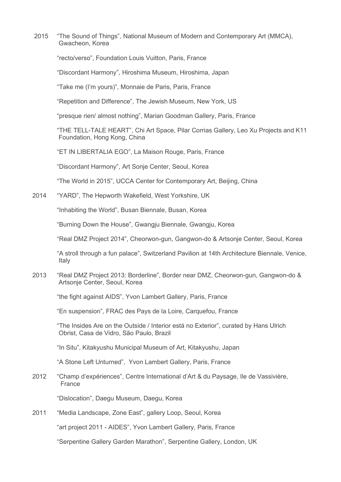2015 "The Sound of Things", National Museum of Modern and Contemporary Art (MMCA), Gwacheon, Korea

"recto/verso", Foundation Louis Vuitton, Paris, France

"Discordant Harmony", Hiroshima Museum, Hiroshima, Japan

"Take me (I'm yours)", Monnaie de Paris, Paris, France

"Repetition and Difference", The Jewish Museum, New York, US

"presque rien/ almost nothing", Marian Goodman Gallery, Paris, France

 "THE TELL-TALE HEART", Chi Art Space, Pilar Corrias Gallery, Leo Xu Projects and K11 Foundation, Hong Kong, China

"ET IN LIBERTALIA EGO", La Maison Rouge, Paris, France

"Discordant Harmony", Art Sonje Center, Seoul, Korea

"The World in 2015", UCCA Center for Contemporary Art, Beijing, China

2014 "YARD", The Hepworth Wakefield, West Yorkshire, UK

"Inhabiting the World", Busan Biennale, Busan, Korea

"Burning Down the House", Gwangju Biennale, Gwangju, Korea

"Real DMZ Project 2014", Cheorwon-gun, Gangwon-do & Artsonje Center, Seoul, Korea

 "A stroll through a fun palace", Switzerland Pavilion at 14th Architecture Biennale, Venice, Italy

2013 "Real DMZ Project 2013: Borderline", Border near DMZ, Cheorwon-gun, Gangwon-do & Artsonje Center, Seoul, Korea

"the fight against AIDS", Yvon Lambert Gallery, Paris, France

"En suspension", FRAC des Pays de la Loire, Carquefou, France

 "The Insides Are on the Outside / Interior está no Exterior", curated by Hans Ulrich Obrist, Casa de Vidro, São Paulo, Brazil

"In Situ", Kitakyushu Municipal Museum of Art, Kitakyushu, Japan

"A Stone Left Unturned", Yvon Lambert Gallery, Paris, France

2012 "Champ d'expériences", Centre International d'Art & du Paysage, Ile de Vassivière, France

"Dislocation", Daegu Museum, Daegu, Korea

2011 "Media Landscape, Zone East", gallery Loop, Seoul, Korea

"art project 2011 - AIDES", Yvon Lambert Gallery, Paris, France

"Serpentine Gallery Garden Marathon", Serpentine Gallery, London, UK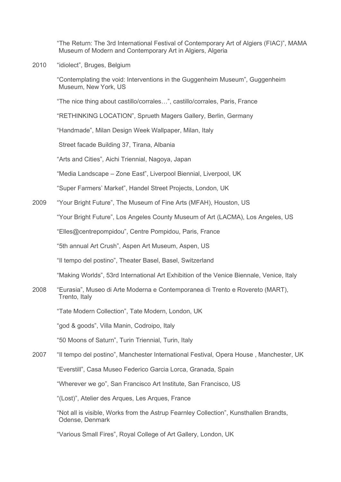"The Return: The 3rd International Festival of Contemporary Art of Algiers (FIAC)", MAMA Museum of Modern and Contemporary Art in Algiers, Algeria

2010 "idiolect", Bruges, Belgium

 "Contemplating the void: Interventions in the Guggenheim Museum", Guggenheim Museum, New York, US

"The nice thing about castillo/corrales…", castillo/corrales, Paris, France

"RETHINKING LOCATION", Sprueth Magers Gallery, Berlin, Germany

"Handmade", Milan Design Week Wallpaper, Milan, Italy

Street facade Building 37, Tirana, Albania

"Arts and Cities", Aichi Triennial, Nagoya, Japan

"Media Landscape – Zone East", Liverpool Biennial, Liverpool, UK

"Super Farmers' Market", Handel Street Projects, London, UK

2009 "Your Bright Future", The Museum of Fine Arts (MFAH), Houston, US

"Your Bright Future", Los Angeles County Museum of Art (LACMA), Los Angeles, US

"Elles@centrepompidou", Centre Pompidou, Paris, France

"5th annual Art Crush", Aspen Art Museum, Aspen, US

"Il tempo del postino", Theater Basel, Basel, Switzerland

"Making Worlds", 53rd International Art Exhibition of the Venice Biennale, Venice, Italy

2008 "Eurasia", Museo di Arte Moderna e Contemporanea di Trento e Rovereto (MART), Trento, Italy

"Tate Modern Collection", Tate Modern, London, UK

"god & goods", Villa Manin, Codroipo, Italy

"50 Moons of Saturn", Turin Triennial, Turin, Italy

# 2007 "Il tempo del postino", Manchester International Festival, Opera House , Manchester, UK "Everstill", Casa Museo Federico Garcia Lorca, Granada, Spain

"Wherever we go", San Francisco Art Institute, San Francisco, US

"(Lost)", Atelier des Arques, Les Arques, France

 "Not all is visible, Works from the Astrup Fearnley Collection", Kunsthallen Brandts, Odense, Denmark

"Various Small Fires", Royal College of Art Gallery, London, UK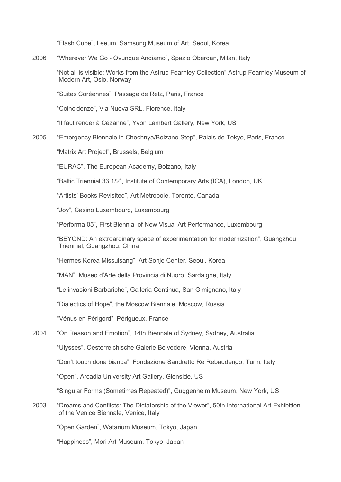"Flash Cube", Leeum, Samsung Museum of Art, Seoul, Korea

2006 "Wherever We Go - Ovunque Andiamo", Spazio Oberdan, Milan, Italy

 "Not all is visible: Works from the Astrup Fearnley Collection" Astrup Fearnley Museum of Modern Art, Oslo, Norway

"Suites Coréennes", Passage de Retz, Paris, France

"Coincidenze", Via Nuova SRL, Florence, Italy

"Il faut render à Cézanne", Yvon Lambert Gallery, New York, US

2005 "Emergency Biennale in Chechnya/Bolzano Stop", Palais de Tokyo, Paris, France

"Matrix Art Project", Brussels, Belgium

"EURAC", The European Academy, Bolzano, Italy

"Baltic Triennial 33 1/2", Institute of Contemporary Arts (ICA), London, UK

"Artists' Books Revisited", Art Metropole, Toronto, Canada

"Joy", Casino Luxembourg, Luxembourg

"Performa 05", First Biennial of New Visual Art Performance, Luxembourg

 "BEYOND: An extroardinary space of experimentation for modernization", Guangzhou Triennial, Guangzhou, China

"Hermès Korea Missulsang", Art Sonje Center, Seoul, Korea

"MAN", Museo d'Arte della Provincia di Nuoro, Sardaigne, Italy

"Le invasioni Barbariche", Galleria Continua, San Gimignano, Italy

"Dialectics of Hope", the Moscow Biennale, Moscow, Russia

"Vénus en Périgord", Périgueux, France

2004 "On Reason and Emotion", 14th Biennale of Sydney, Sydney, Australia

"Ulysses", Oesterreichische Galerie Belvedere, Vienna, Austria

"Don't touch dona bianca", Fondazione Sandretto Re Rebaudengo, Turin, Italy

"Open", Arcadia University Art Gallery, Glenside, US

"Singular Forms (Sometimes Repeated)", Guggenheim Museum, New York, US

2003 "Dreams and Conflicts: The Dictatorship of the Viewer", 50th International Art Exhibition of the Venice Biennale, Venice, Italy

"Open Garden", Watarium Museum, Tokyo, Japan

"Happiness", Mori Art Museum, Tokyo, Japan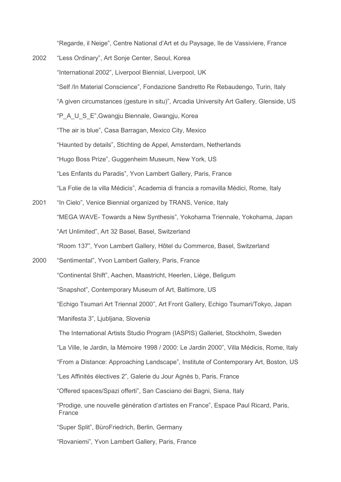"Regarde, il Neige", Centre National d'Art et du Paysage, Ile de Vassiviere, France

- 2002 "Less Ordinary", Art Sonje Center, Seoul, Korea "International 2002", Liverpool Biennial, Liverpool, UK "Self /In Material Conscience", Fondazione Sandretto Re Rebaudengo, Turin, Italy "A given circumstances (gesture in situ)", Arcadia University Art Gallery, Glenside, US "P\_A\_U\_S\_E",Gwangju Biennale, Gwangju, Korea "The air is blue", Casa Barragan, Mexico City, Mexico "Haunted by details", Stichting de Appel, Amsterdam, Netherlands "Hugo Boss Prize", Guggenheim Museum, New York, US "Les Enfants du Paradis", Yvon Lambert Gallery, Paris, France "La Folie de la villa Médicis", Academia di francia a romavilla Médici, Rome, Italy 2001 "In Cielo", Venice Biennial organized by TRANS, Venice, Italy
- "MEGA WAVE- Towards a New Synthesis", Yokohama Triennale, Yokohama, Japan "Art Unlimited", Art 32 Basel, Basel, Switzerland "Room 137", Yvon Lambert Gallery, Hôtel du Commerce, Basel, Switzerland
- 2000 "Sentimental", Yvon Lambert Gallery, Paris, France "Continental Shift", Aachen, Maastricht, Heerlen, Liège, Beligum "Snapshot", Contemporary Museum of Art, Baltimore, US "Echigo Tsumari Art Triennal 2000", Art Front Gallery, Echigo Tsumari/Tokyo, Japan "Manifesta 3", Ljubljana, Slovenia The International Artists Studio Program (IASPIS) Galleriet, Stockholm, Sweden "La Ville, le Jardin, la Mémoire 1998 / 2000: Le Jardin 2000", Villa Médicis, Rome, Italy "From a Distance: Approaching Landscape", Institute of Contemporary Art, Boston, US "Les Affinités électives 2", Galerie du Jour Agnès b, Paris, France "Offered spaces/Spazi offerti", San Casciano dei Bagni, Siena, Italy "Prodige, une nouvelle génération d'artistes en France", Espace Paul Ricard, Paris, France "Super Split", BüroFriedrich, Berlin, Germany
	- "Rovaniemi", Yvon Lambert Gallery, Paris, France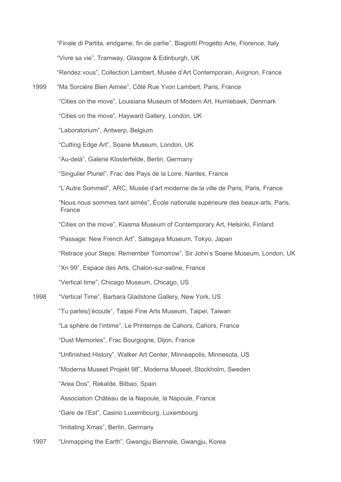"Finale di Partita, endgame, fin de partie", Biagiotti Progetto Arte, Florence, Italy "Vivre sa vie", Tramway, Glasgow & Edinburgh, UK "Rendez vous", Collection Lambert, Musée d'Art Contemporain, Avignon, France 1999 "Ma Sorcière Bien Aimée", Côté Rue Yvon Lambert, Paris, France "Cities on the move", Louisiana Museum of Modern Art, Humlebaek, Denmark "Cities on the move", Hayward Gallery, London, UK "Laboratorium", Antwerp, Belgium "Cutting Edge Art", Soane Museum, London, UK "Au-delà", Galerie Klosterfelde, Berlin, Germany "Singulier Pluriel", Frac des Pays de la Loire, Nantes, France "L'Autre Sommeil", ARC, Musée d'art moderne de la ville de Paris, Paris, France "Nous nous sommes tant aimés", École nationale supérieure des beaux-arts, Paris, France "Cities on the move", Kiasma Museum of Contemporary Art, Helsinki, Finland "Passage: New French Art", Sategaya Museum, Tokyo, Japan "Retrace your Steps: Remember Tomorrow", Sir John's Soane Museum, London, UK "Xn 99", Espace des Arts, Chalon-sur-saône, France "Vertical time", Chicago Museum, Chicago, US 1998 "Vertical Time", Barbara Gladstone Gallery, New York, US "Tu parles/j'écoute", Taipei Fine Arts Museum, Taipei, Taiwan "La sphère de l'intime", Le Printemps de Cahors, Cahors, France "Dust Memories", Frac Bourgogne, Dijon, France "Unfinished History", Walker Art Center, Minneapolis, Minnesota, US "Moderna Museet Projekt 98", Moderna Museet, Stockholm, Sweden "Area Dos", Rekalde, Bilbao, Spain Association Château de la Napoule, la Napoule, France "Gare de l'Est", Casino Luxembourg, Luxembourg "Imitating Xmas", Berlin, Germany 1997 "Unmapping the Earth", Gwangju Biennale, Gwangju, Korea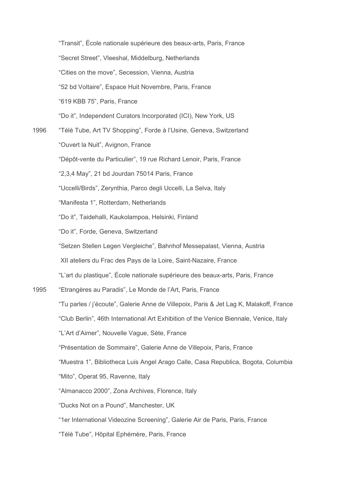|      | "Transit", École nationale supérieure des beaux-arts, Paris, France                    |
|------|----------------------------------------------------------------------------------------|
|      | "Secret Street", Vleeshal, Middelburg, Netherlands                                     |
|      | "Cities on the move", Secession, Vienna, Austria                                       |
|      | "52 bd Voltaire", Espace Huit Novembre, Paris, France                                  |
|      | "619 KBB 75", Paris, France                                                            |
|      | "Do it", Independent Curators Incorporated (ICI), New York, US                         |
| 1996 | "Télé Tube, Art TV Shopping", Forde à l'Usine, Geneva, Switzerland                     |
|      | "Ouvert la Nuit", Avignon, France                                                      |
|      | "Dépôt-vente du Particulier", 19 rue Richard Lenoir, Paris, France                     |
|      | "2,3,4 May", 21 bd Jourdan 75014 Paris, France                                         |
|      | "Uccelli/Birds", Zerynthia, Parco degli Uccelli, La Selva, Italy                       |
|      | "Manifesta 1", Rotterdam, Netherlands                                                  |
|      | "Do it", Taidehalli, Kaukolampoa, Helsinki, Finland                                    |
|      | "Do it", Forde, Geneva, Switzerland                                                    |
|      | "Setzen Stellen Legen Vergleiche", Bahnhof Messepalast, Vienna, Austria                |
|      | XII ateliers du Frac des Pays de la Loire, Saint-Nazaire, France                       |
|      | "L'art du plastique", École nationale supérieure des beaux-arts, Paris, France         |
| 1995 | "Etrangères au Paradis", Le Monde de l'Art, Paris, France                              |
|      | "Tu parles / j'écoute", Galerie Anne de Villepoix, Paris & Jet Lag K, Malakoff, France |
|      | "Club Berlin", 46th International Art Exhibition of the Venice Biennale, Venice, Italy |
|      | "L'Art d'Aimer", Nouvelle Vague, Sète, France                                          |
|      | "Présentation de Sommaire", Galerie Anne de Villepoix, Paris, France                   |
|      | "Muestra 1", Bibliotheca Luis Angel Arago Calle, Casa Republica, Bogota, Columbia      |
|      | "Mito", Operat 95, Ravenne, Italy                                                      |
|      | "Almanacco 2000", Zona Archives, Florence, Italy                                       |
|      | "Ducks Not on a Pound", Manchester, UK                                                 |
|      | "1er International Videozine Screening", Galerie Air de Paris, Paris, France           |
|      | "Télé Tube", Hôpital Ephémère, Paris, France                                           |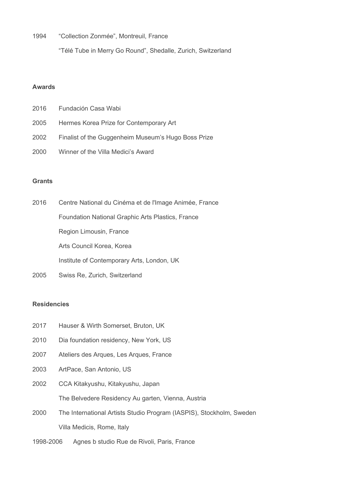1994 "Collection Zonmée", Montreuil, France

"Télé Tube in Merry Go Round", Shedalle, Zurich, Switzerland

## Awards

| 2016 | Fundación Casa Wabi                                 |
|------|-----------------------------------------------------|
| 2005 | Hermes Korea Prize for Contemporary Art             |
| 2002 | Finalist of the Guggenheim Museum's Hugo Boss Prize |
| 2000 | Winner of the Villa Medici's Award                  |

### **Grants**

| 2016 | Centre National du Cinéma et de l'Image Animée, France   |
|------|----------------------------------------------------------|
|      | <b>Foundation National Graphic Arts Plastics, France</b> |
|      | Region Limousin, France                                  |
|      | Arts Council Korea, Korea                                |
|      | Institute of Contemporary Arts, London, UK               |

2005 Swiss Re, Zurich, Switzerland

### Residencies

- 2017 Hauser & Wirth Somerset, Bruton, UK
- 2010 Dia foundation residency, New York, US
- 2007 Ateliers des Arques, Les Arques, France
- 2003 ArtPace, San Antonio, US
- 2002 CCA Kitakyushu, Kitakyushu, Japan The Belvedere Residency Au garten, Vienna, Austria
- 2000 The International Artists Studio Program (IASPIS), Stockholm, Sweden Villa Medicis, Rome, Italy
- 1998-2006 Agnes b studio Rue de Rivoli, Paris, France